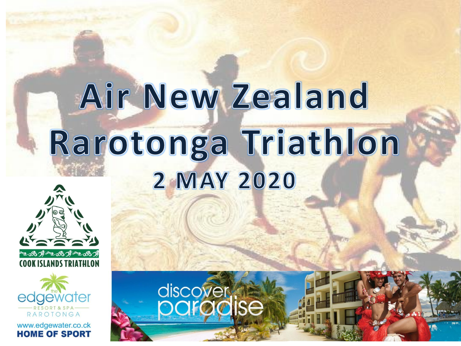# Air New Zealand Rarotonga Triathlon **2 MAY 2020**

discover<br>**paradise** 





www.edgewater.co.ck **HOME OF SPORT**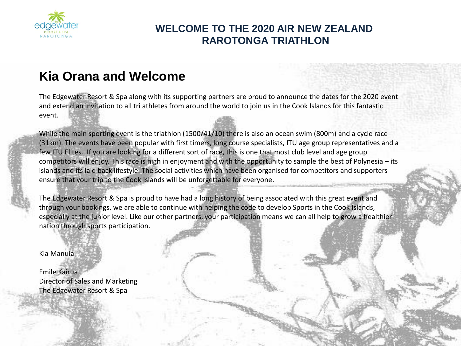

# **WELCOME TO THE 2020 AIR NEW ZEALAND RAROTONGA TRIATHLON**

# **Kia Orana and Welcome**

The Edgewater Resort & Spa along with its supporting partners are proud to announce the dates for the 2020 event and extend an invitation to all tri athletes from around the world to join us in the Cook Islands for this fantastic event.

While the main sporting event is the triathlon (1500/41/10) there is also an ocean swim (800m) and a cycle race (31km). The events have been popular with first timers, long course specialists, ITU age group representatives and a few ITU Elites. If you are looking for a different sort of race, this is one that most club level and age group competitors will enjoy. This race is high in enjoyment and with the opportunity to sample the best of Polynesia – its islands and its laid back lifestyle. The social activities which have been organised for competitors and supporters ensure that your trip to the Cook Islands will be unforgettable for everyone.

The Edgewater Resort & Spa is proud to have had a long history of being associated with this great event and through your bookings, we are able to continue with helping the code to develop Sports in the Cook Islands, especially at the junior level. Like our other partners, your participation means we can all help to grow a healthier nation through sports participation.

Kia Manuia

Emile Kairua Director of Sales and Marketing The Edgewater Resort & Spa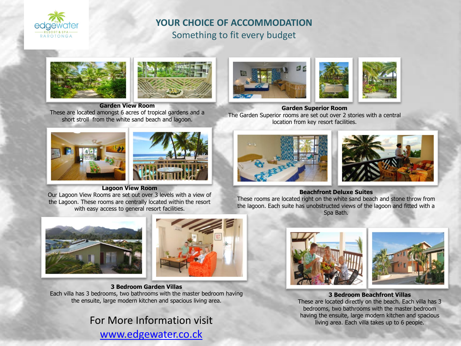

## **YOUR CHOICE OF ACCOMMODATION** Something to fit every budget





**Garden View Room**  These are located amongst 6 acres of tropical gardens and a short stroll from the white sand beach and lagoon.





**Lagoon View Room** 

Our Lagoon View Rooms are set out over 3 levels with a view of the Lagoon. These rooms are centrally located within the resort with easy access to general resort facilities.





**3 Bedroom Garden Villas**  Each villa has 3 bedrooms, two bathrooms with the master bedroom having the ensuite, large modern kitchen and spacious living area.

[www.edgewater.co.ck](http://www.edgewater.co.ck/)





**Garden Superior Room**  The Garden Superior rooms are set out over 2 stories with a central location from key resort facilities.





#### **Beachfront Deluxe Suites**

These rooms are located right on the white sand beach and stone throw from the lagoon. Each suite has unobstructed views of the lagoon and fitted with a Spa Bath.





**3 Bedroom Beachfront Villas**  These are located directly on the beach. Each villa has 3 bedrooms, two bathrooms with the master bedroom having the ensuite, large modern kitchen and spacious<br>living area. Each villa takes up to 6 people.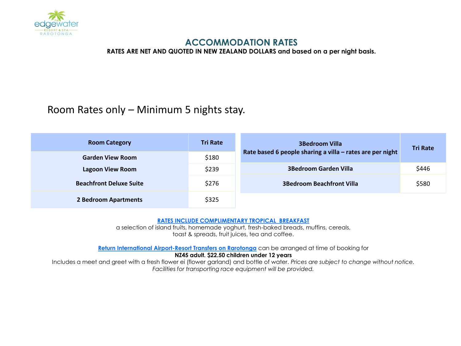

### **ACCOMMODATION RATES**

**RATES ARE NET AND QUOTED IN NEW ZEALAND DOLLARS and based on a per night basis.**

# Room Rates only – Minimum 5 nights stay.

| <b>Room Category</b><br><b>Garden View Room</b> | <b>Tri Rate</b><br>\$180 | <b>3Bedroom Villa</b><br>Rate based 6 people sharing a villa - rates are per night | <b>Tri Rate</b> |
|-------------------------------------------------|--------------------------|------------------------------------------------------------------------------------|-----------------|
| Lagoon View Room                                | \$239                    | <b>3Bedroom Garden Villa</b>                                                       | \$446           |
| <b>Beachfront Deluxe Suite</b>                  | \$276                    | <b>3Bedroom Beachfront Villa</b>                                                   | \$580           |
| 2 Bedroom Apartments                            | \$325                    |                                                                                    |                 |

#### **RATES INCLUDE COMPLIMENTARY TROPICAL BREAKFAST**

a selection of island fruits, homemade yoghurt, fresh-baked breads, muffins, cereals, toast & spreads, fruit juices, tea and coffee.

**Return International Airport-Resort Transfers on Rarotonga** can be arranged at time of booking for **NZ45 adult. \$22.50 children under 12 years**

Includes a meet and greet with a fresh flower ei (flower garland) and bottle of water. *Prices are subject to change without notice. Facilities for transporting race equipment will be provided.*